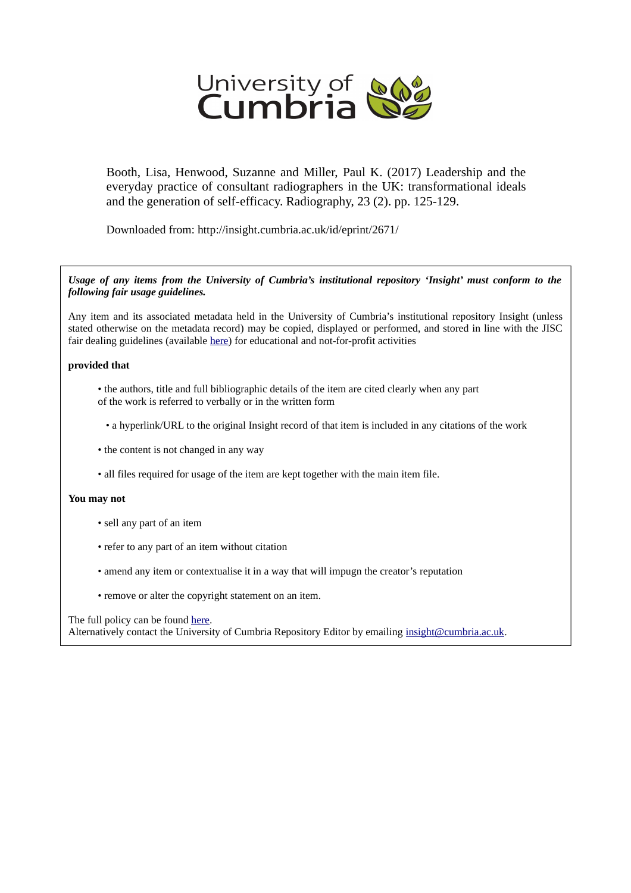

Booth, Lisa, Henwood, Suzanne and Miller, Paul K. (2017) Leadership and the everyday practice of consultant radiographers in the UK: transformational ideals and the generation of self-efficacy. Radiography, 23 (2). pp. 125-129.

Downloaded from: http://insight.cumbria.ac.uk/id/eprint/2671/

### *Usage of any items from the University of Cumbria's institutional repository 'Insight' must conform to the following fair usage guidelines.*

Any item and its associated metadata held in the University of Cumbria's institutional repository Insight (unless stated otherwise on the metadata record) may be copied, displayed or performed, and stored in line with the JISC fair dealing guidelines (available [here\)](http://www.ukoln.ac.uk/services/elib/papers/pa/fair/) for educational and not-for-profit activities

### **provided that**

- the authors, title and full bibliographic details of the item are cited clearly when any part of the work is referred to verbally or in the written form
	- a hyperlink/URL to the original Insight record of that item is included in any citations of the work
- the content is not changed in any way
- all files required for usage of the item are kept together with the main item file.

### **You may not**

- sell any part of an item
- refer to any part of an item without citation
- amend any item or contextualise it in a way that will impugn the creator's reputation
- remove or alter the copyright statement on an item.

### The full policy can be found [here.](http://insight.cumbria.ac.uk/legal.html#section5)

Alternatively contact the University of Cumbria Repository Editor by emailing [insight@cumbria.ac.uk.](mailto:insight@cumbria.ac.uk)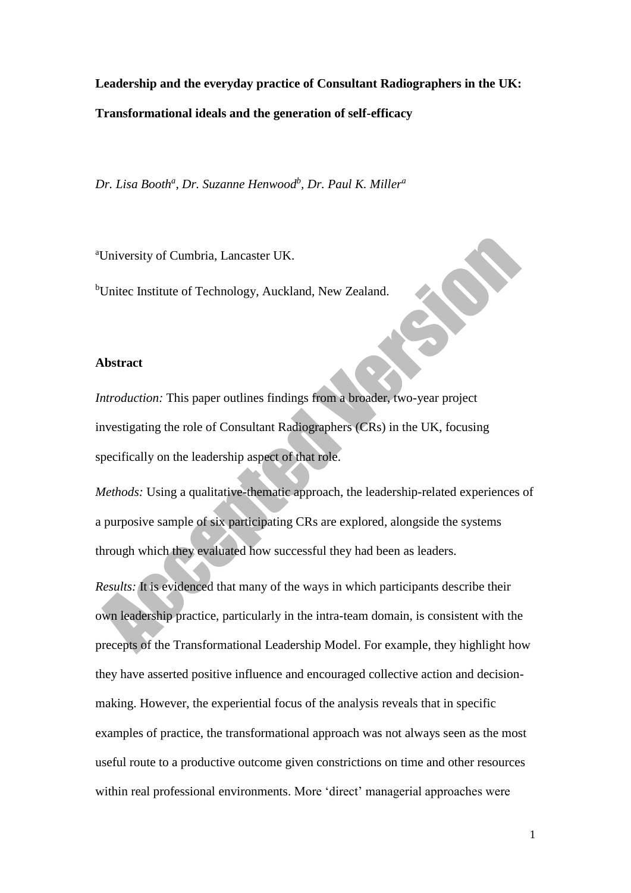**Leadership and the everyday practice of Consultant Radiographers in the UK: Transformational ideals and the generation of self-efficacy**

*Dr. Lisa Booth<sup>a</sup> , Dr. Suzanne Henwood<sup>b</sup> , Dr. Paul K. Miller<sup>a</sup>*

<sup>a</sup>University of Cumbria, Lancaster UK.

<sup>b</sup>Unitec Institute of Technology, Auckland, New Zealand.

### **Abstract**

*Introduction:* This paper outlines findings from a broader, two-year project investigating the role of Consultant Radiographers (CRs) in the UK, focusing specifically on the leadership aspect of that role.

*Methods:* Using a qualitative-thematic approach, the leadership-related experiences of a purposive sample of six participating CRs are explored, alongside the systems through which they evaluated how successful they had been as leaders.

*Results:* It is evidenced that many of the ways in which participants describe their own leadership practice, particularly in the intra-team domain, is consistent with the precepts of the Transformational Leadership Model. For example, they highlight how they have asserted positive influence and encouraged collective action and decisionmaking. However, the experiential focus of the analysis reveals that in specific examples of practice, the transformational approach was not always seen as the most useful route to a productive outcome given constrictions on time and other resources within real professional environments. More 'direct' managerial approaches were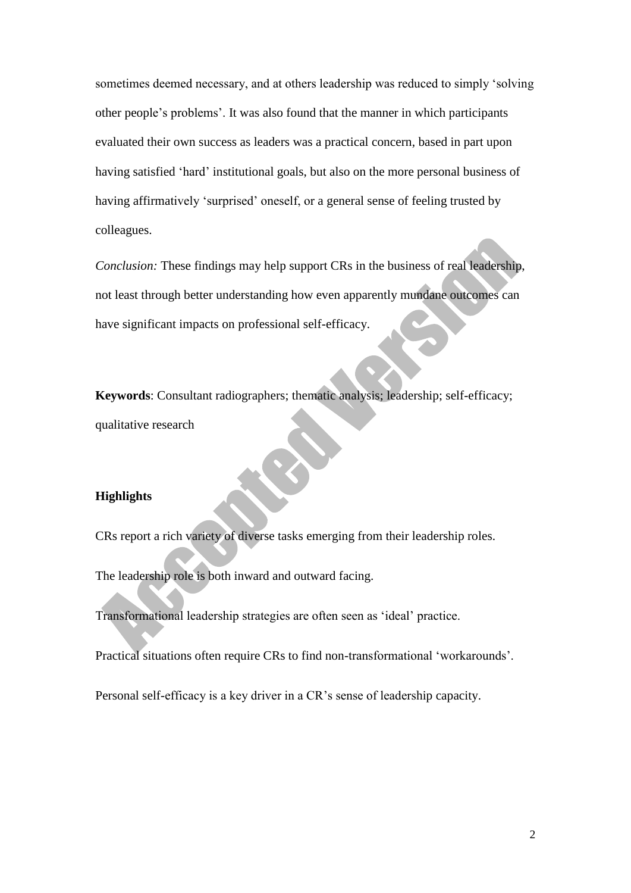sometimes deemed necessary, and at others leadership was reduced to simply 'solving other people's problems'. It was also found that the manner in which participants evaluated their own success as leaders was a practical concern, based in part upon having satisfied 'hard' institutional goals, but also on the more personal business of having affirmatively 'surprised' oneself, or a general sense of feeling trusted by colleagues.

*Conclusion:* These findings may help support CRs in the business of real leadership, not least through better understanding how even apparently mundane outcomes can have significant impacts on professional self-efficacy.

**Keywords**: Consultant radiographers; thematic analysis; leadership; self-efficacy; qualitative research

## **Highlights**

CRs report a rich variety of diverse tasks emerging from their leadership roles.

The leadership role is both inward and outward facing.

Transformational leadership strategies are often seen as 'ideal' practice.

Practical situations often require CRs to find non-transformational 'workarounds'.

Personal self-efficacy is a key driver in a CR's sense of leadership capacity.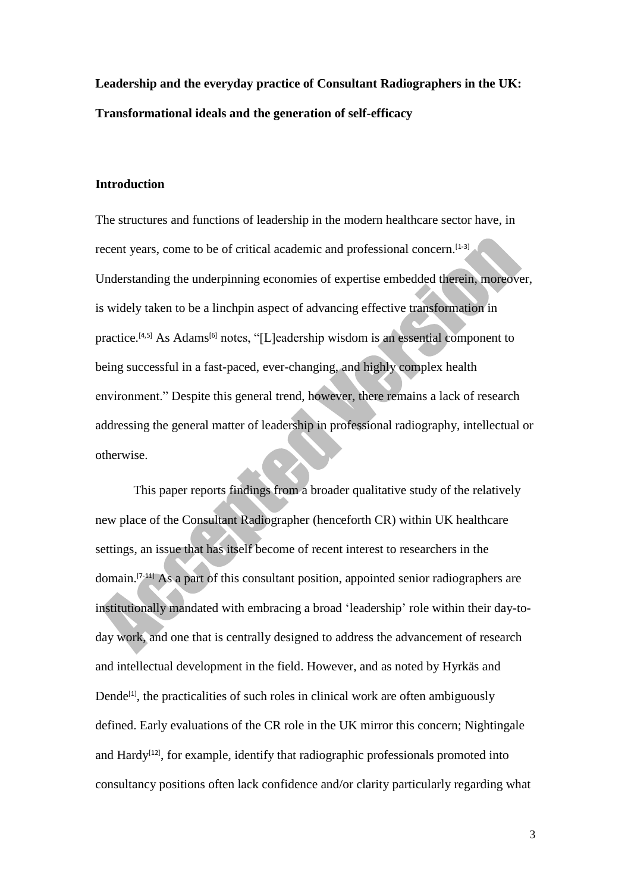**Leadership and the everyday practice of Consultant Radiographers in the UK: Transformational ideals and the generation of self-efficacy**

### **Introduction**

The structures and functions of leadership in the modern healthcare sector have, in recent years, come to be of critical academic and professional concern.<sup>[1-3]</sup> Understanding the underpinning economies of expertise embedded therein, moreover, is widely taken to be a linchpin aspect of advancing effective transformation in practice.<sup>[4,5]</sup> As Adams<sup>[6]</sup> notes, "[L]eadership wisdom is an essential component to being successful in a fast-paced, ever-changing, and highly complex health environment." Despite this general trend, however, there remains a lack of research addressing the general matter of leadership in professional radiography, intellectual or otherwise.

This paper reports findings from a broader qualitative study of the relatively new place of the Consultant Radiographer (henceforth CR) within UK healthcare settings, an issue that has itself become of recent interest to researchers in the domain.[7-11] As a part of this consultant position, appointed senior radiographers are institutionally mandated with embracing a broad 'leadership' role within their day-today work, and one that is centrally designed to address the advancement of research and intellectual development in the field. However, and as noted by Hyrkäs and Dende<sup>[1]</sup>, the practicalities of such roles in clinical work are often ambiguously defined. Early evaluations of the CR role in the UK mirror this concern; Nightingale and Hardy<sup>[12]</sup>, for example, identify that radiographic professionals promoted into consultancy positions often lack confidence and/or clarity particularly regarding what

3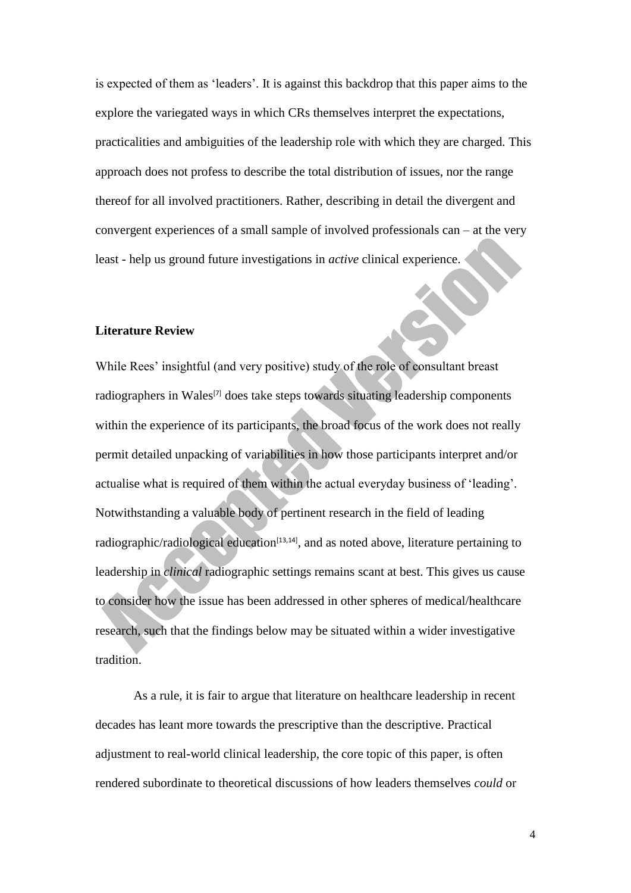is expected of them as 'leaders'. It is against this backdrop that this paper aims to the explore the variegated ways in which CRs themselves interpret the expectations, practicalities and ambiguities of the leadership role with which they are charged. This approach does not profess to describe the total distribution of issues, nor the range thereof for all involved practitioners. Rather, describing in detail the divergent and convergent experiences of a small sample of involved professionals can – at the very least - help us ground future investigations in *active* clinical experience.

## **Literature Review**

While Rees' insightful (and very positive) study of the role of consultant breast radiographers in Wales<sup>[7]</sup> does take steps towards situating leadership components within the experience of its participants, the broad focus of the work does not really permit detailed unpacking of variabilities in how those participants interpret and/or actualise what is required of them within the actual everyday business of 'leading'. Notwithstanding a valuable body of pertinent research in the field of leading radiographic/radiological education<sup>[13,14]</sup>, and as noted above, literature pertaining to leadership in *clinical* radiographic settings remains scant at best. This gives us cause to consider how the issue has been addressed in other spheres of medical/healthcare research, such that the findings below may be situated within a wider investigative tradition.

As a rule, it is fair to argue that literature on healthcare leadership in recent decades has leant more towards the prescriptive than the descriptive. Practical adjustment to real-world clinical leadership, the core topic of this paper, is often rendered subordinate to theoretical discussions of how leaders themselves *could* or

4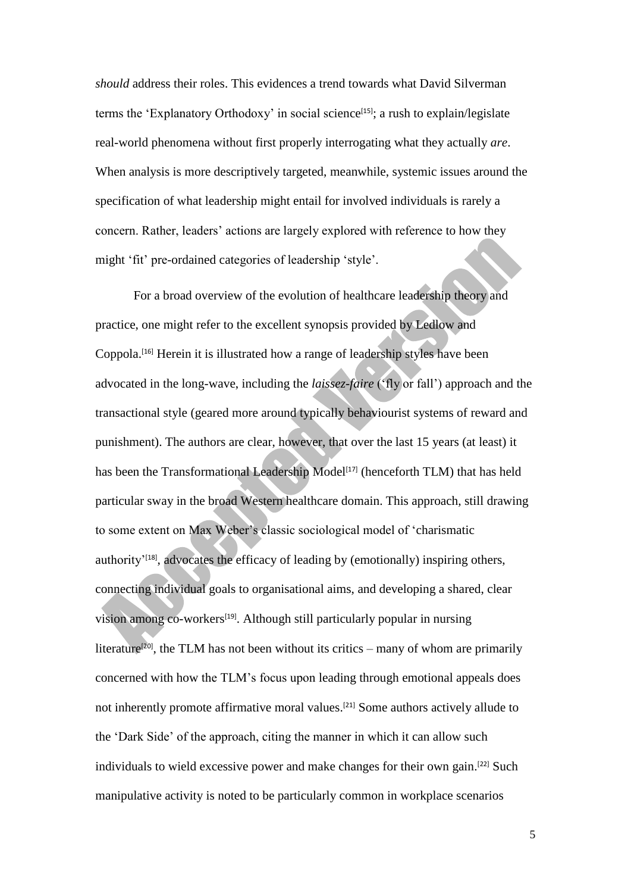*should* address their roles. This evidences a trend towards what David Silverman terms the 'Explanatory Orthodoxy' in social science<sup>[15]</sup>; a rush to explain/legislate real-world phenomena without first properly interrogating what they actually *are*. When analysis is more descriptively targeted, meanwhile, systemic issues around the specification of what leadership might entail for involved individuals is rarely a concern. Rather, leaders' actions are largely explored with reference to how they might 'fit' pre-ordained categories of leadership 'style'.

For a broad overview of the evolution of healthcare leadership theory and practice, one might refer to the excellent synopsis provided by Ledlow and Coppola. [16] Herein it is illustrated how a range of leadership styles have been advocated in the long-wave, including the *laissez-faire* ('fly or fall') approach and the transactional style (geared more around typically behaviourist systems of reward and punishment). The authors are clear, however, that over the last 15 years (at least) it has been the Transformational Leadership Model<sup>[17]</sup> (henceforth TLM) that has held particular sway in the broad Western healthcare domain. This approach, still drawing to some extent on Max Weber's classic sociological model of 'charismatic authority<sup> $18$ ]</sup>, advocates the efficacy of leading by (emotionally) inspiring others, connecting individual goals to organisational aims, and developing a shared, clear vision among co-workers<sup>[19]</sup>. Although still particularly popular in nursing literature<sup>[20]</sup>, the TLM has not been without its critics – many of whom are primarily concerned with how the TLM's focus upon leading through emotional appeals does not inherently promote affirmative moral values.<sup>[21]</sup> Some authors actively allude to the 'Dark Side' of the approach, citing the manner in which it can allow such individuals to wield excessive power and make changes for their own gain.<sup>[22]</sup> Such manipulative activity is noted to be particularly common in workplace scenarios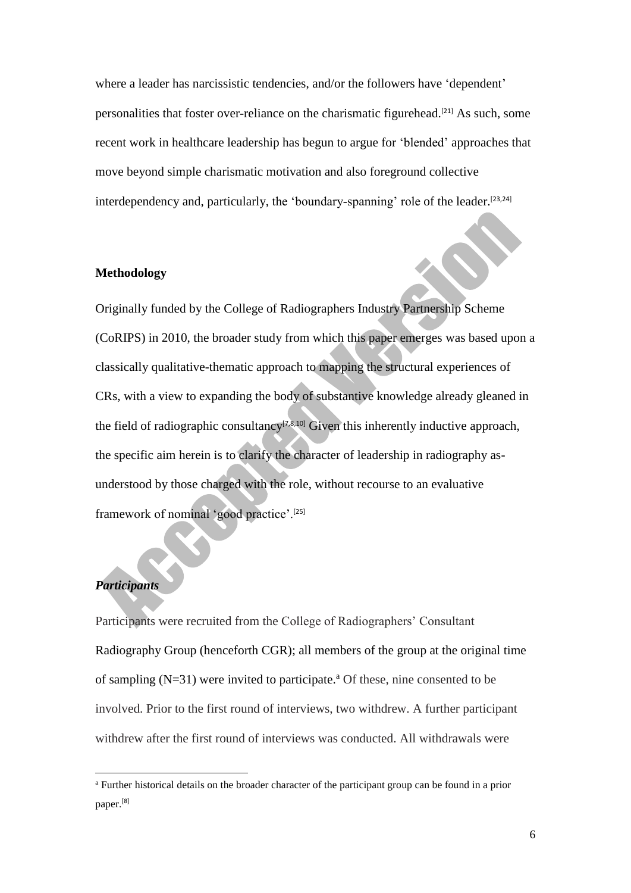where a leader has narcissistic tendencies, and/or the followers have 'dependent' personalities that foster over-reliance on the charismatic figurehead.<sup>[21]</sup> As such, some recent work in healthcare leadership has begun to argue for 'blended' approaches that move beyond simple charismatic motivation and also foreground collective interdependency and, particularly, the 'boundary-spanning' role of the leader.<sup>[23,24]</sup>

## **Methodology**

Originally funded by the College of Radiographers Industry Partnership Scheme (CoRIPS) in 2010, the broader study from which this paper emerges was based upon a classically qualitative-thematic approach to mapping the structural experiences of CRs, with a view to expanding the body of substantive knowledge already gleaned in the field of radiographic consultancy<sup>[7,8,10]</sup> Given this inherently inductive approach, the specific aim herein is to clarify the character of leadership in radiography asunderstood by those charged with the role, without recourse to an evaluative framework of nominal 'good practice'.[25]

# *Participants*

**.** 

Participants were recruited from the College of Radiographers' Consultant Radiography Group (henceforth CGR); all members of the group at the original time of sampling  $(N=31)$  were invited to participate.<sup>a</sup> Of these, nine consented to be involved. Prior to the first round of interviews, two withdrew. A further participant withdrew after the first round of interviews was conducted. All withdrawals were

<sup>a</sup> Further historical details on the broader character of the participant group can be found in a prior paper.[8]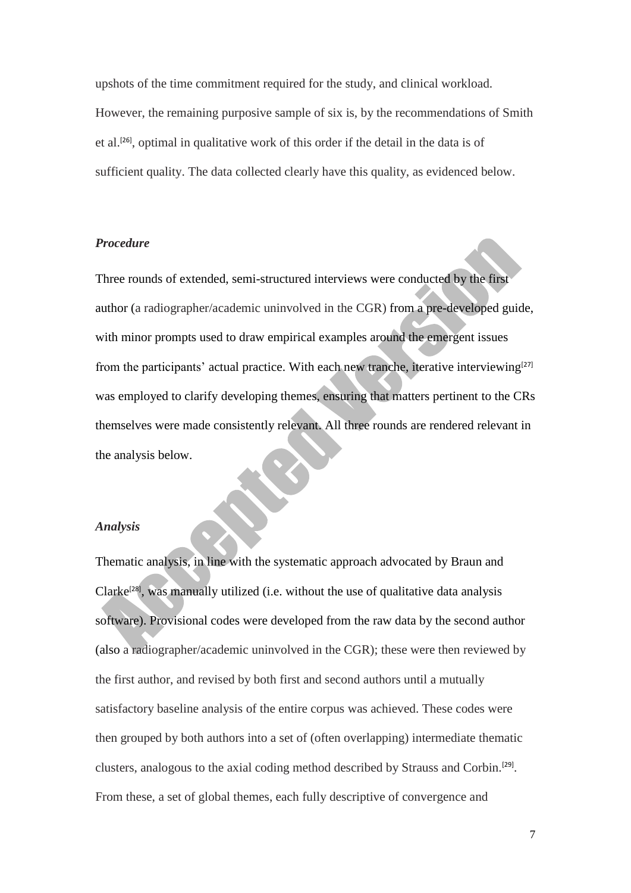upshots of the time commitment required for the study, and clinical workload. However, the remaining purposive sample of six is, by the recommendations of Smith et al.<sup>[26]</sup>, optimal in qualitative work of this order if the detail in the data is of sufficient quality. The data collected clearly have this quality, as evidenced below.

## *Procedure*

Three rounds of extended, semi-structured interviews were conducted by the first author (a radiographer/academic uninvolved in the CGR) from a pre-developed guide, with minor prompts used to draw empirical examples around the emergent issues from the participants' actual practice. With each new tranche, iterative interviewing<sup>[27]</sup> was employed to clarify developing themes, ensuring that matters pertinent to the CRs themselves were made consistently relevant. All three rounds are rendered relevant in the analysis below.

### *Analysis*

Thematic analysis, in line with the systematic approach advocated by Braun and Clarke<sup>[28]</sup>, was manually utilized (i.e. without the use of qualitative data analysis software). Provisional codes were developed from the raw data by the second author (also a radiographer/academic uninvolved in the CGR); these were then reviewed by the first author, and revised by both first and second authors until a mutually satisfactory baseline analysis of the entire corpus was achieved. These codes were then grouped by both authors into a set of (often overlapping) intermediate thematic clusters, analogous to the axial coding method described by Strauss and Corbin.<sup>[29]</sup>. From these, a set of global themes, each fully descriptive of convergence and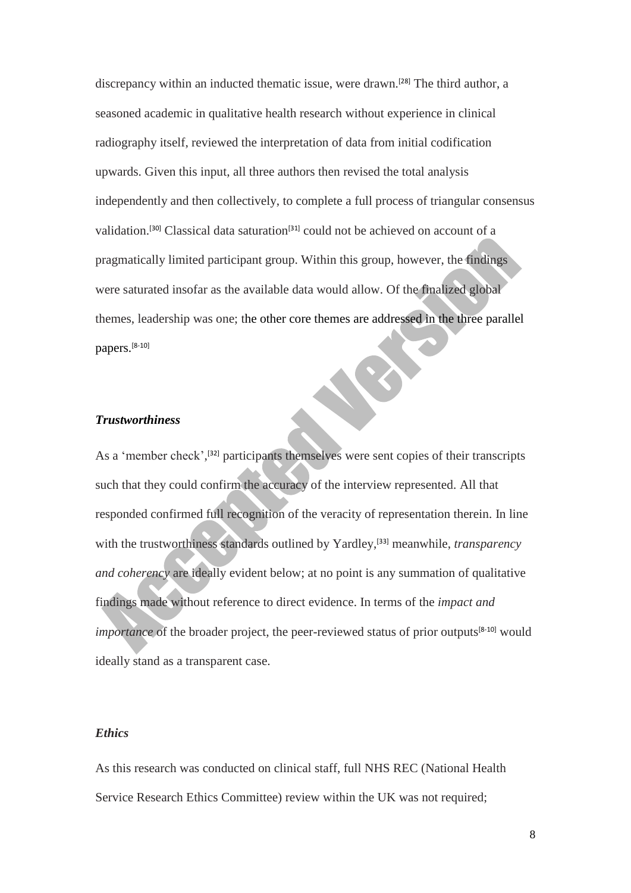discrepancy within an inducted thematic issue, were drawn.<sup>[28]</sup> The third author, a seasoned academic in qualitative health research without experience in clinical radiography itself, reviewed the interpretation of data from initial codification upwards. Given this input, all three authors then revised the total analysis independently and then collectively, to complete a full process of triangular consensus validation.<sup>[30]</sup> Classical data saturation<sup>[31]</sup> could not be achieved on account of a pragmatically limited participant group. Within this group, however, the findings were saturated insofar as the available data would allow. Of the finalized global themes, leadership was one; the other core themes are addressed in the three parallel papers. [8-10]

### *Trustworthiness*

As a 'member check',<sup>[32]</sup> participants themselves were sent copies of their transcripts such that they could confirm the accuracy of the interview represented. All that responded confirmed full recognition of the veracity of representation therein. In line with the trustworthiness standards outlined by Yardley,<sup>[33]</sup> meanwhile, *transparency and coherency* are ideally evident below; at no point is any summation of qualitative findings made without reference to direct evidence. In terms of the *impact and importance* of the broader project, the peer-reviewed status of prior outputs<sup>[8-10]</sup> would ideally stand as a transparent case.

## *Ethics*

As this research was conducted on clinical staff, full NHS REC (National Health Service Research Ethics Committee) review within the UK was not required;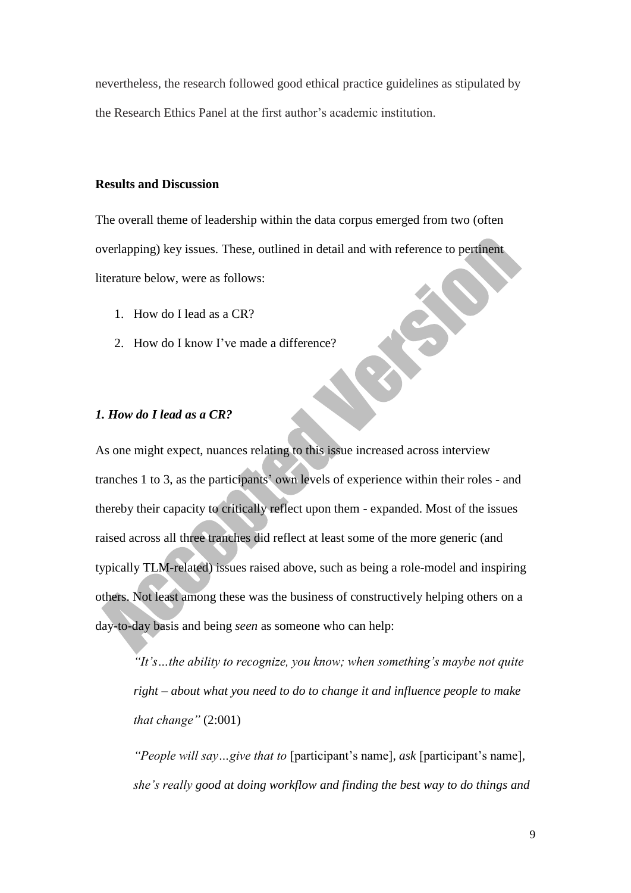nevertheless, the research followed good ethical practice guidelines as stipulated by the Research Ethics Panel at the first author's academic institution.

### **Results and Discussion**

The overall theme of leadership within the data corpus emerged from two (often overlapping) key issues. These, outlined in detail and with reference to pertinent literature below, were as follows:

- 1. How do I lead as a CR?
- 2. How do I know I've made a difference?

## *1. How do I lead as a CR?*

As one might expect, nuances relating to this issue increased across interview tranches 1 to 3, as the participants' own levels of experience within their roles - and thereby their capacity to critically reflect upon them - expanded. Most of the issues raised across all three tranches did reflect at least some of the more generic (and typically TLM-related) issues raised above, such as being a role-model and inspiring others. Not least among these was the business of constructively helping others on a day-to-day basis and being *seen* as someone who can help:

*"It's…the ability to recognize, you know; when something's maybe not quite right – about what you need to do to change it and influence people to make that change"* (2:001)

*"People will say…give that to* [participant's name]*, ask* [participant's name]*, she's really good at doing workflow and finding the best way to do things and*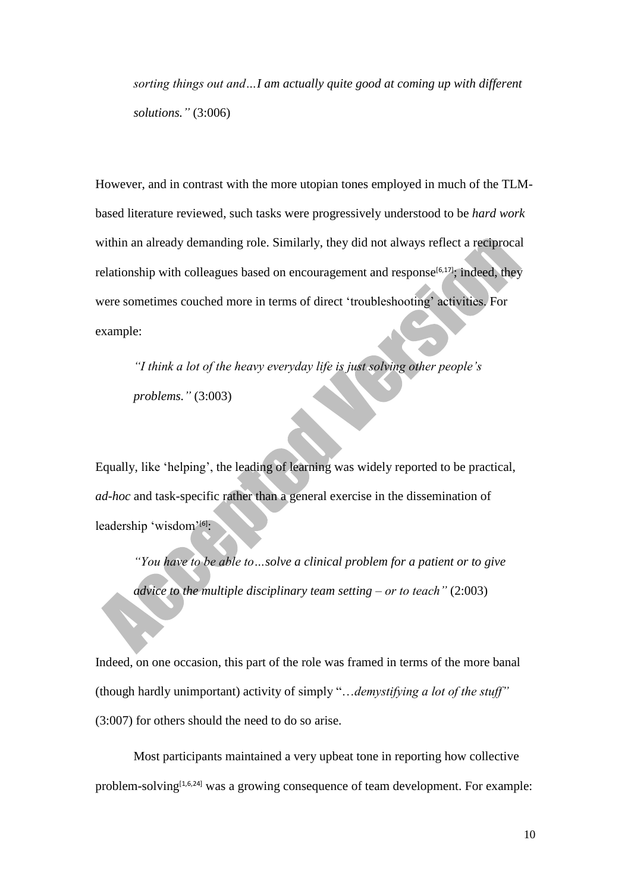*sorting things out and…I am actually quite good at coming up with different solutions."* (3:006)

However, and in contrast with the more utopian tones employed in much of the TLMbased literature reviewed, such tasks were progressively understood to be *hard work* within an already demanding role. Similarly, they did not always reflect a reciprocal relationship with colleagues based on encouragement and response<sup>[6,17]</sup>; indeed, they were sometimes couched more in terms of direct 'troubleshooting' activities. For example:

*"I think a lot of the heavy everyday life is just solving other people's problems."* (3:003)

Equally, like 'helping', the leading of learning was widely reported to be practical, *ad-hoc* and task-specific rather than a general exercise in the dissemination of leadership 'wisdom'<sup>[6]</sup>:

*"You have to be able to…solve a clinical problem for a patient or to give advice to the multiple disciplinary team setting – or to teach"* (2:003)

Indeed, on one occasion, this part of the role was framed in terms of the more banal (though hardly unimportant) activity of simply "…*demystifying a lot of the stuff"* (3:007) for others should the need to do so arise.

Most participants maintained a very upbeat tone in reporting how collective problem-solving[1,6,24] was a growing consequence of team development. For example: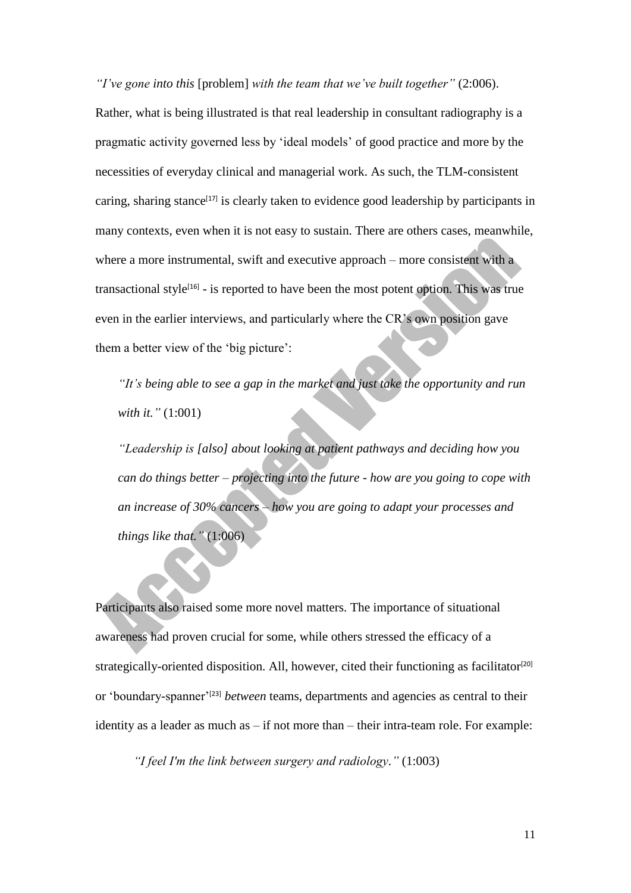*"I've gone into this* [problem] *with the team that we've built together"* (2:006). Rather, what is being illustrated is that real leadership in consultant radiography is a pragmatic activity governed less by 'ideal models' of good practice and more by the necessities of everyday clinical and managerial work. As such, the TLM-consistent caring, sharing stance $[17]$  is clearly taken to evidence good leadership by participants in many contexts, even when it is not easy to sustain. There are others cases, meanwhile, where a more instrumental, swift and executive approach – more consistent with a transactional style<sup>[16]</sup> - is reported to have been the most potent option. This was true even in the earlier interviews, and particularly where the CR's own position gave them a better view of the 'big picture':

*"It's being able to see a gap in the market and just take the opportunity and run with it."* (1:001)

*"Leadership is [also] about looking at patient pathways and deciding how you can do things better – projecting into the future - how are you going to cope with an increase of 30% cancers – how you are going to adapt your processes and things like that."* (1:006)

Participants also raised some more novel matters. The importance of situational awareness had proven crucial for some, while others stressed the efficacy of a strategically-oriented disposition. All, however, cited their functioning as facilitator<sup>[20]</sup> or 'boundary-spanner'[23] *between* teams, departments and agencies as central to their identity as a leader as much as – if not more than – their intra-team role. For example:

*"I feel I'm the link between surgery and radiology."* (1:003)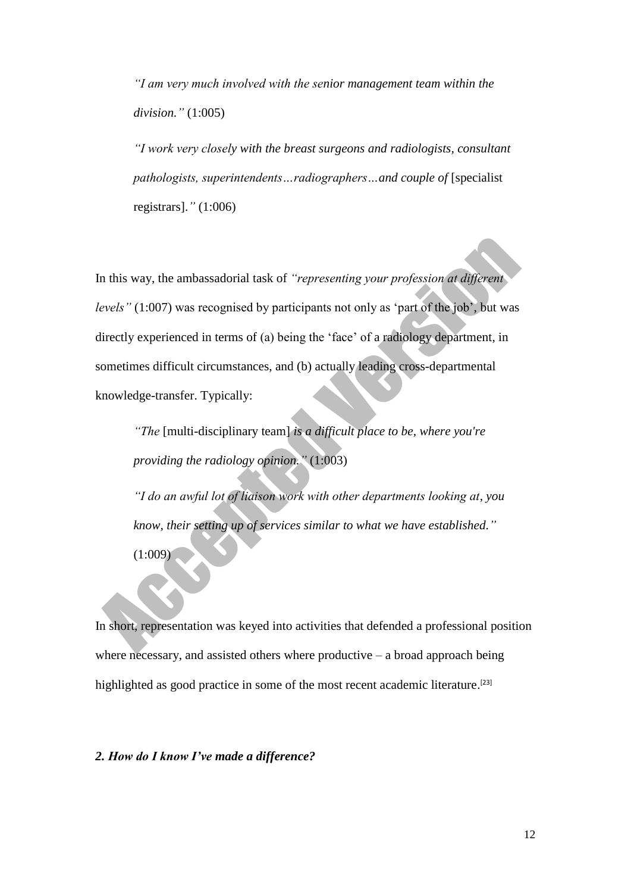*"I am very much involved with the senior management team within the division."* (1:005)

*"I work very closely with the breast surgeons and radiologists, consultant pathologists, superintendents…radiographers…and couple of* [specialist registrars].*"* (1:006)

In this way, the ambassadorial task of *"representing your profession at different levels"* (1:007) was recognised by participants not only as 'part of the job', but was directly experienced in terms of (a) being the 'face' of a radiology department, in sometimes difficult circumstances, and (b) actually leading cross-departmental knowledge-transfer. Typically:

*"The* [multi-disciplinary team] *is a difficult place to be, where you're providing the radiology opinion."* (1:003)

*"I do an awful lot of liaison work with other departments looking at, you know, their setting up of services similar to what we have established."*

(1:009)

In short, representation was keyed into activities that defended a professional position where necessary, and assisted others where productive  $-$  a broad approach being highlighted as good practice in some of the most recent academic literature.<sup>[23]</sup>

*2. How do I know I've made a difference?*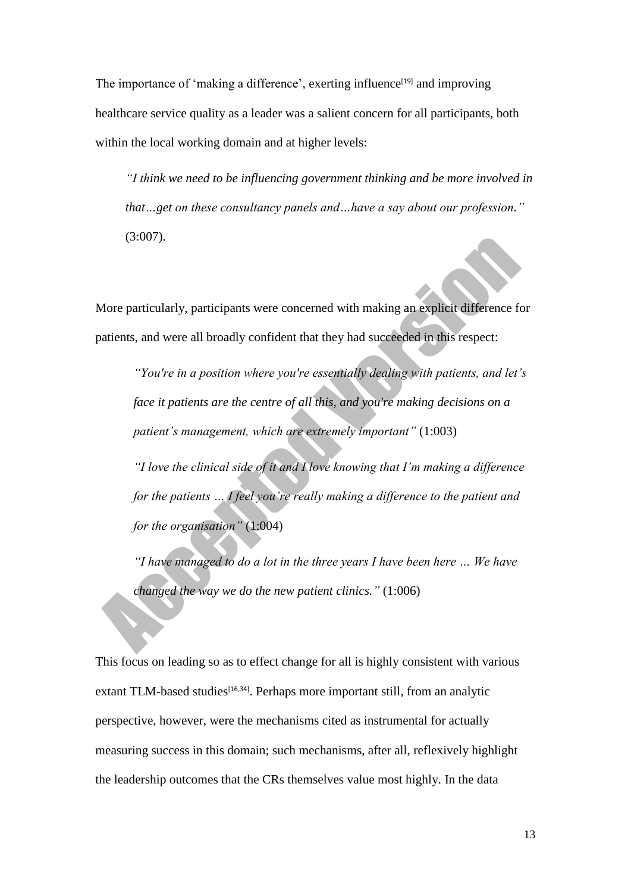The importance of 'making a difference', exerting influence<sup>[19]</sup> and improving healthcare service quality as a leader was a salient concern for all participants, both within the local working domain and at higher levels:

*"I think we need to be influencing government thinking and be more involved in that…get on these consultancy panels and…have a say about our profession."* (3:007).

More particularly, participants were concerned with making an explicit difference for patients, and were all broadly confident that they had succeeded in this respect:

*"You're in a position where you're essentially dealing with patients, and let's face it patients are the centre of all this, and you're making decisions on a patient's management, which are extremely important"* (1:003)

*"I love the clinical side of it and I love knowing that I'm making a difference for the patients … I feel you're really making a difference to the patient and for the organisation"* (1:004)

*"I have managed to do a lot in the three years I have been here … We have changed the way we do the new patient clinics."* (1:006)

This focus on leading so as to effect change for all is highly consistent with various extant TLM-based studies<sup>[16,34]</sup>. Perhaps more important still, from an analytic perspective, however, were the mechanisms cited as instrumental for actually measuring success in this domain; such mechanisms, after all, reflexively highlight the leadership outcomes that the CRs themselves value most highly. In the data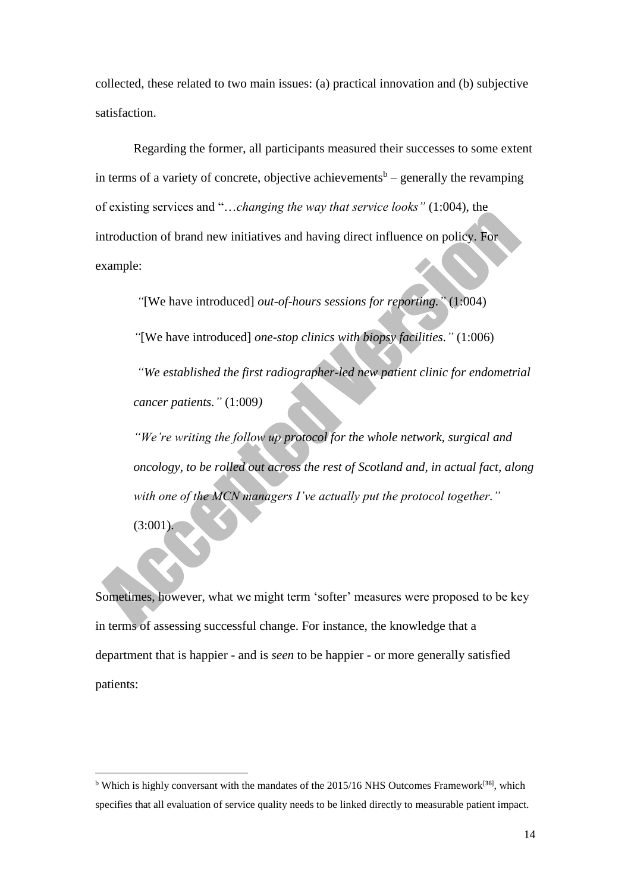collected, these related to two main issues: (a) practical innovation and (b) subjective satisfaction.

Regarding the former, all participants measured their successes to some extent in terms of a variety of concrete, objective achievements<sup>b</sup> – generally the revamping of existing services and "…*changing the way that service looks"* (1:004), the introduction of brand new initiatives and having direct influence on policy. For example:

*"*[We have introduced] *out-of-hours sessions for reporting."* (1:004) *"*[We have introduced] *one-stop clinics with biopsy facilities."* (1:006) *"We established the first radiographer-led new patient clinic for endometrial cancer patients."* (1:009*)*

*"We're writing the follow up protocol for the whole network, surgical and oncology, to be rolled out across the rest of Scotland and, in actual fact, along with one of the MCN managers I've actually put the protocol together."*  $(3:001)$ .

Sometimes, however, what we might term 'softer' measures were proposed to be key in terms of assessing successful change. For instance, the knowledge that a department that is happier - and is *seen* to be happier - or more generally satisfied patients:

**.** 

<sup>&</sup>lt;sup>b</sup> Which is highly conversant with the mandates of the 2015/16 NHS Outcomes Framework<sup>[36]</sup>, which specifies that all evaluation of service quality needs to be linked directly to measurable patient impact.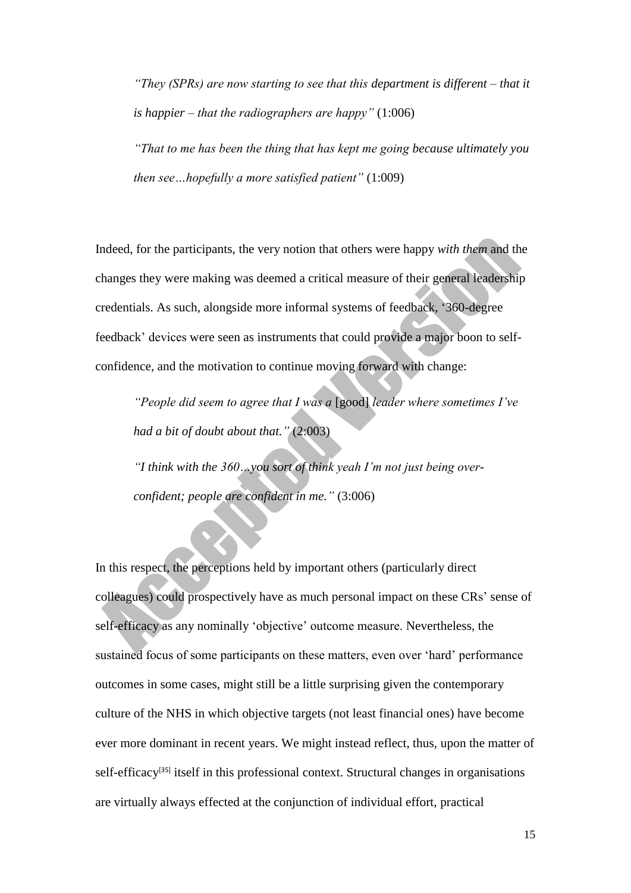*"They (SPRs) are now starting to see that this department is different – that it is happier – that the radiographers are happy"* (1:006)

*"That to me has been the thing that has kept me going because ultimately you then see…hopefully a more satisfied patient"* (1:009)

Indeed, for the participants, the very notion that others were happy *with them* and the changes they were making was deemed a critical measure of their general leadership credentials. As such, alongside more informal systems of feedback, '360-degree feedback' devices were seen as instruments that could provide a major boon to selfconfidence, and the motivation to continue moving forward with change:

*"People did seem to agree that I was a* [good] *leader where sometimes I've had a bit of doubt about that."* (2:003)

*"I think with the 360…you sort of think yeah I'm not just being overconfident; people are confident in me."* (3:006)

In this respect, the perceptions held by important others (particularly direct colleagues) could prospectively have as much personal impact on these CRs' sense of self-efficacy as any nominally 'objective' outcome measure. Nevertheless, the sustained focus of some participants on these matters, even over 'hard' performance outcomes in some cases, might still be a little surprising given the contemporary culture of the NHS in which objective targets (not least financial ones) have become ever more dominant in recent years. We might instead reflect, thus, upon the matter of self-efficacy<sup>[35]</sup> itself in this professional context. Structural changes in organisations are virtually always effected at the conjunction of individual effort, practical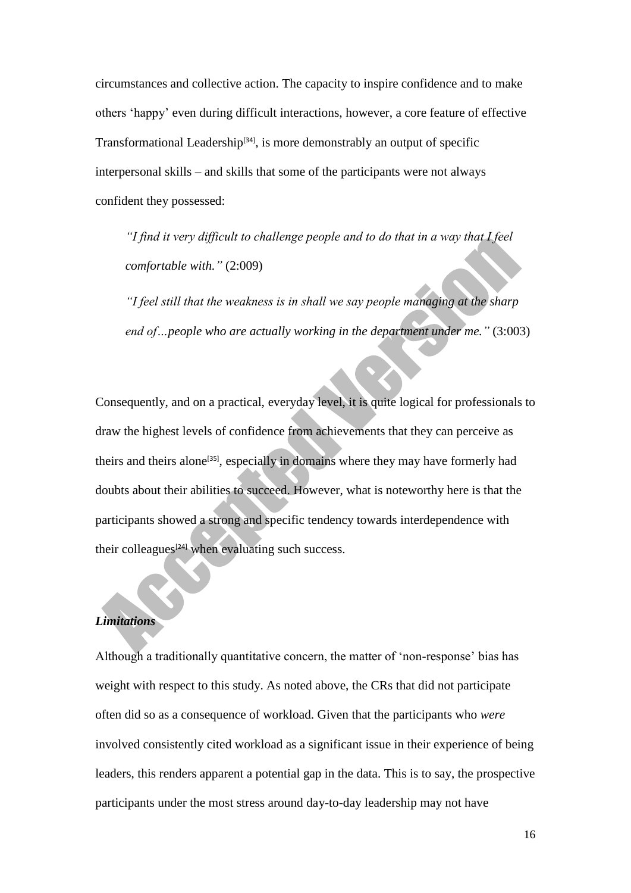circumstances and collective action. The capacity to inspire confidence and to make others 'happy' even during difficult interactions, however, a core feature of effective Transformational Leadership<sup>[34]</sup>, is more demonstrably an output of specific interpersonal skills – and skills that some of the participants were not always confident they possessed:

*"I find it very difficult to challenge people and to do that in a way that I feel comfortable with."* (2:009)

*"I feel still that the weakness is in shall we say people managing at the sharp end of…people who are actually working in the department under me."* (3:003)

Consequently, and on a practical, everyday level, it is quite logical for professionals to draw the highest levels of confidence from achievements that they can perceive as theirs and theirs alone<sup>[35]</sup>, especially in domains where they may have formerly had doubts about their abilities to succeed. However, what is noteworthy here is that the participants showed a strong and specific tendency towards interdependence with their colleagues<sup>[24]</sup> when evaluating such success.

# *Limitations*

Although a traditionally quantitative concern, the matter of 'non-response' bias has weight with respect to this study. As noted above, the CRs that did not participate often did so as a consequence of workload. Given that the participants who *were* involved consistently cited workload as a significant issue in their experience of being leaders, this renders apparent a potential gap in the data. This is to say, the prospective participants under the most stress around day-to-day leadership may not have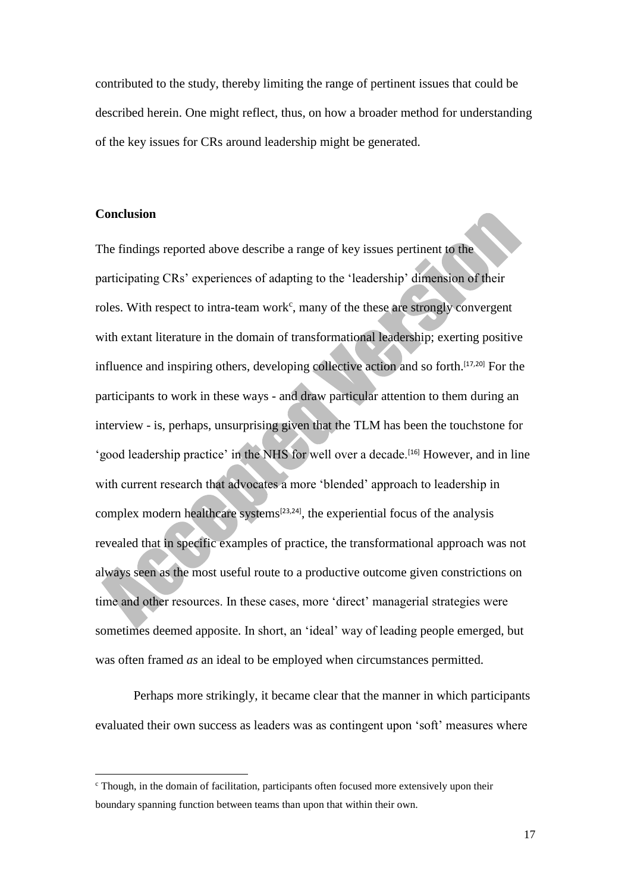contributed to the study, thereby limiting the range of pertinent issues that could be described herein. One might reflect, thus, on how a broader method for understanding of the key issues for CRs around leadership might be generated.

### **Conclusion**

1

The findings reported above describe a range of key issues pertinent to the participating CRs' experiences of adapting to the 'leadership' dimension of their roles. With respect to intra-team work<sup>c</sup>, many of the these are strongly convergent with extant literature in the domain of transformational leadership; exerting positive influence and inspiring others, developing collective action and so forth.[17,20] For the participants to work in these ways - and draw particular attention to them during an interview - is, perhaps, unsurprising given that the TLM has been the touchstone for 'good leadership practice' in the NHS for well over a decade.[16] However, and in line with current research that advocates a more 'blended' approach to leadership in complex modern healthcare systems<sup>[23,24]</sup>, the experiential focus of the analysis revealed that in specific examples of practice, the transformational approach was not always seen as the most useful route to a productive outcome given constrictions on time and other resources. In these cases, more 'direct' managerial strategies were sometimes deemed apposite. In short, an 'ideal' way of leading people emerged, but was often framed *as* an ideal to be employed when circumstances permitted.

Perhaps more strikingly, it became clear that the manner in which participants evaluated their own success as leaders was as contingent upon 'soft' measures where

 $\epsilon$  Though, in the domain of facilitation, participants often focused more extensively upon their boundary spanning function between teams than upon that within their own.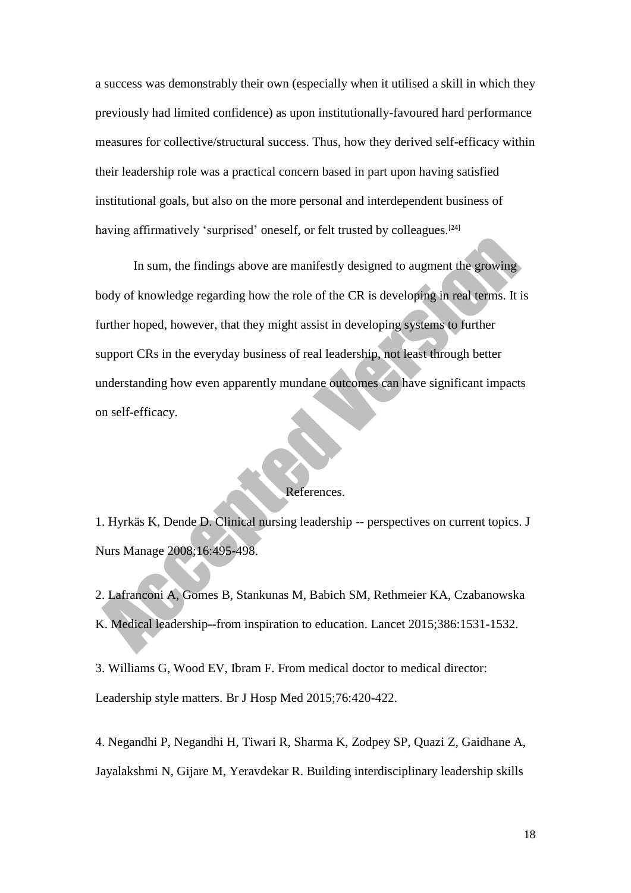a success was demonstrably their own (especially when it utilised a skill in which they previously had limited confidence) as upon institutionally-favoured hard performance measures for collective/structural success. Thus, how they derived self-efficacy within their leadership role was a practical concern based in part upon having satisfied institutional goals, but also on the more personal and interdependent business of having affirmatively 'surprised' oneself, or felt trusted by colleagues.<sup>[24]</sup>

In sum, the findings above are manifestly designed to augment the growing body of knowledge regarding how the role of the CR is developing in real terms. It is further hoped, however, that they might assist in developing systems to further support CRs in the everyday business of real leadership, not least through better understanding how even apparently mundane outcomes can have significant impacts on self-efficacy.

## References.

1. Hyrkäs K, Dende D. Clinical nursing leadership -- perspectives on current topics. J Nurs Manage 2008;16:495-498.

2. Lafranconi A, Gomes B, Stankunas M, Babich SM, Rethmeier KA, Czabanowska K. Medical leadership--from inspiration to education. Lancet 2015;386:1531-1532.

3. Williams G, Wood EV, Ibram F. From medical doctor to medical director: Leadership style matters. Br J Hosp Med 2015;76:420-422.

4. Negandhi P, Negandhi H, Tiwari R, Sharma K, Zodpey SP, Quazi Z, Gaidhane A, Jayalakshmi N, Gijare M, Yeravdekar R. Building interdisciplinary leadership skills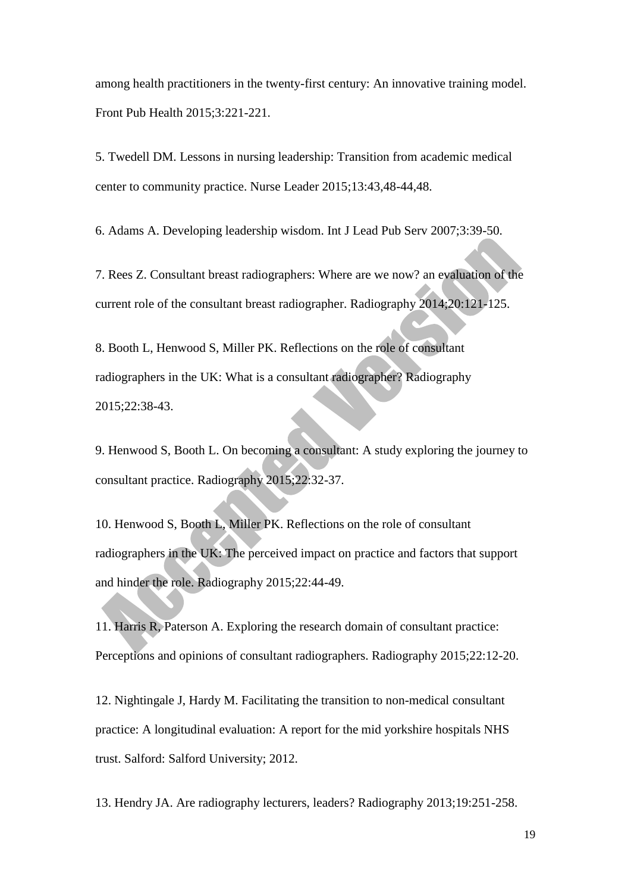among health practitioners in the twenty-first century: An innovative training model. Front Pub Health 2015;3:221-221.

5. Twedell DM. Lessons in nursing leadership: Transition from academic medical center to community practice. Nurse Leader 2015;13:43,48-44,48.

6. Adams A. Developing leadership wisdom. Int J Lead Pub Serv 2007;3:39-50.

7. Rees Z. Consultant breast radiographers: Where are we now? an evaluation of the current role of the consultant breast radiographer. Radiography 2014;20:121-125.

8. Booth L, Henwood S, Miller PK. Reflections on the role of consultant radiographers in the UK: What is a consultant radiographer? Radiography 2015;22:38-43.

9. Henwood S, Booth L. On becoming a consultant: A study exploring the journey to consultant practice. Radiography 2015;22:32-37.

10. Henwood S, Booth L, Miller PK. Reflections on the role of consultant radiographers in the UK: The perceived impact on practice and factors that support and hinder the role. Radiography 2015;22:44-49.

11. Harris R, Paterson A. Exploring the research domain of consultant practice: Perceptions and opinions of consultant radiographers. Radiography 2015;22:12-20.

12. Nightingale J, Hardy M. Facilitating the transition to non-medical consultant practice: A longitudinal evaluation: A report for the mid yorkshire hospitals NHS trust. Salford: Salford University; 2012.

13. Hendry JA. Are radiography lecturers, leaders? Radiography 2013;19:251-258.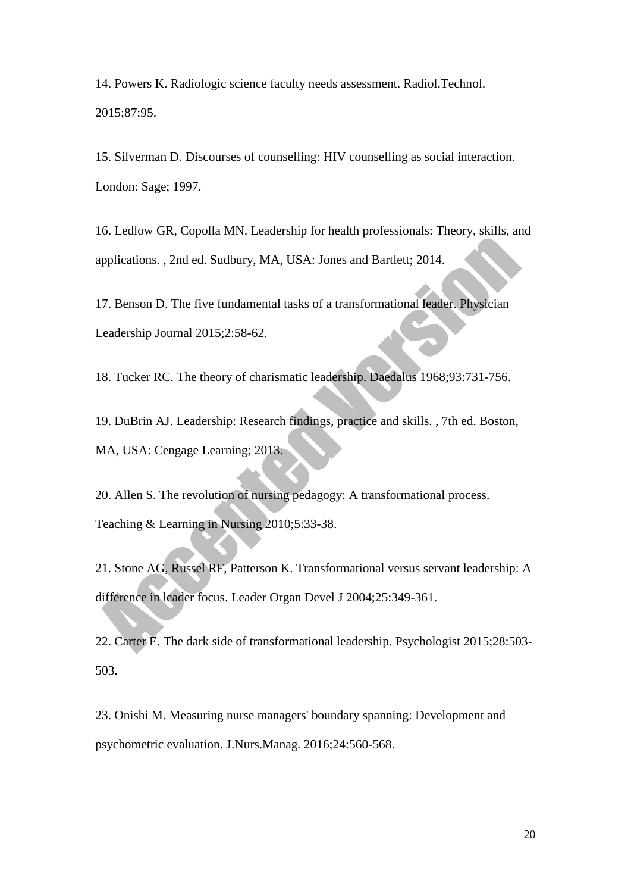14. Powers K. Radiologic science faculty needs assessment. Radiol.Technol. 2015;87:95.

15. Silverman D. Discourses of counselling: HIV counselling as social interaction. London: Sage; 1997.

16. Ledlow GR, Copolla MN. Leadership for health professionals: Theory, skills, and applications. , 2nd ed. Sudbury, MA, USA: Jones and Bartlett; 2014.

17. Benson D. The five fundamental tasks of a transformational leader. Physician Leadership Journal 2015;2:58-62.

18. Tucker RC. The theory of charismatic leadership. Daedalus 1968;93:731-756.

19. DuBrin AJ. Leadership: Research findings, practice and skills. , 7th ed. Boston, MA, USA: Cengage Learning; 2013.

20. Allen S. The revolution of nursing pedagogy: A transformational process. Teaching & Learning in Nursing 2010;5:33-38.

21. Stone AG, Russel RF, Patterson K. Transformational versus servant leadership: A difference in leader focus. Leader Organ Devel J 2004;25:349-361.

22. Carter E. The dark side of transformational leadership. Psychologist 2015;28:503- 503.

23. Onishi M. Measuring nurse managers' boundary spanning: Development and psychometric evaluation. J.Nurs.Manag. 2016;24:560-568.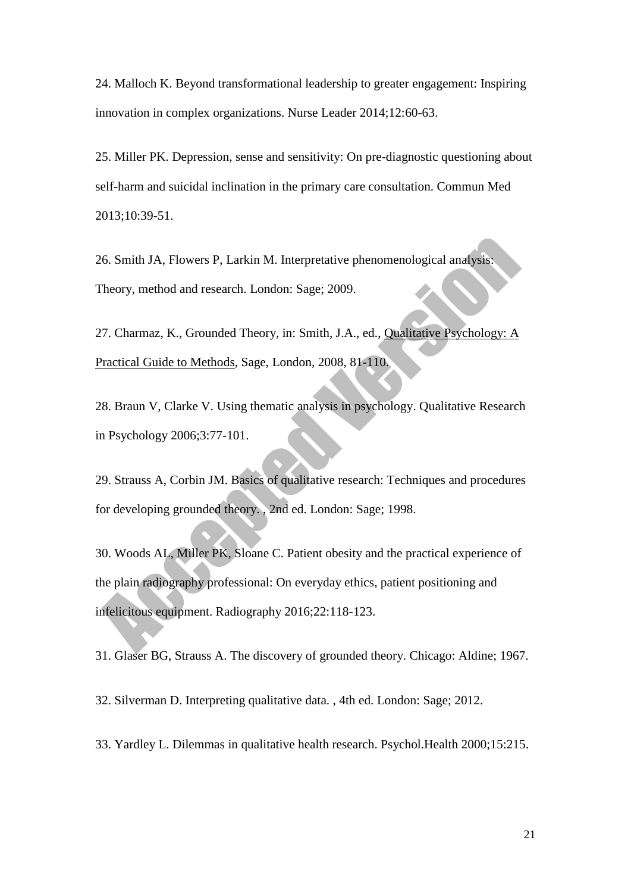24. Malloch K. Beyond transformational leadership to greater engagement: Inspiring innovation in complex organizations. Nurse Leader 2014;12:60-63.

25. Miller PK. Depression, sense and sensitivity: On pre-diagnostic questioning about self-harm and suicidal inclination in the primary care consultation. Commun Med 2013;10:39-51.

26. Smith JA, Flowers P, Larkin M. Interpretative phenomenological analysis: Theory, method and research. London: Sage; 2009.

27. Charmaz, K., Grounded Theory, in: Smith, J.A., ed., Qualitative Psychology: A Practical Guide to Methods, Sage, London, 2008, 81-110.

28. Braun V, Clarke V. Using thematic analysis in psychology. Qualitative Research in Psychology 2006;3:77-101.

29. Strauss A, Corbin JM. Basics of qualitative research: Techniques and procedures for developing grounded theory. , 2nd ed. London: Sage; 1998.

30. Woods AL, Miller PK, Sloane C. Patient obesity and the practical experience of the plain radiography professional: On everyday ethics, patient positioning and infelicitous equipment. Radiography 2016;22:118-123.

31. Glaser BG, Strauss A. The discovery of grounded theory. Chicago: Aldine; 1967.

32. Silverman D. Interpreting qualitative data. , 4th ed. London: Sage; 2012.

33. Yardley L. Dilemmas in qualitative health research. Psychol.Health 2000;15:215.